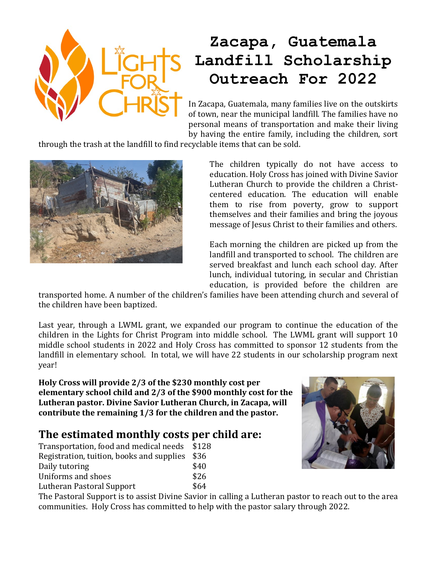

## **Zacapa, Guatemala Landfill Scholarship Outreach For 2022**

In Zacapa, Guatemala, many families live on the outskirts of town, near the municipal landfill. The families have no personal means of transportation and make their living by having the entire family, including the children, sort

through the trash at the landfill to find recyclable items that can be sold.



The children typically do not have access to education. Holy Cross has joined with Divine Savior Lutheran Church to provide the children a Christcentered education. The education will enable them to rise from poverty, grow to support themselves and their families and bring the joyous message of Jesus Christ to their families and others.

Each morning the children are picked up from the landfill and transported to school. The children are served breakfast and lunch each school day. After lunch, individual tutoring, in secular and Christian education, is provided before the children are

transported home. A number of the children's families have been attending church and several of the children have been baptized.

Last year, through a LWML grant, we expanded our program to continue the education of the children in the Lights for Christ Program into middle school. The LWML grant will support 10 middle school students in 2022 and Holy Cross has committed to sponsor 12 students from the landfill in elementary school. In total, we will have 22 students in our scholarship program next year!

**Holy Cross will provide 2/3 of the \$230 monthly cost per elementary school child and 2/3 of the \$900 monthly cost for the Lutheran pastor. Divine Savior Lutheran Church, in Zacapa, will contribute the remaining 1/3 for the children and the pastor.**

## **The estimated monthly costs per child are:**

| Transportation, food and medical needs \$128 |      |
|----------------------------------------------|------|
| Registration, tuition, books and supplies    | \$36 |
| Daily tutoring                               | \$40 |
| Uniforms and shoes                           | \$26 |
| Lutheran Pastoral Support                    | \$64 |



The Pastoral Support is to assist Divine Savior in calling a Lutheran pastor to reach out to the area communities. Holy Cross has committed to help with the pastor salary through 2022.